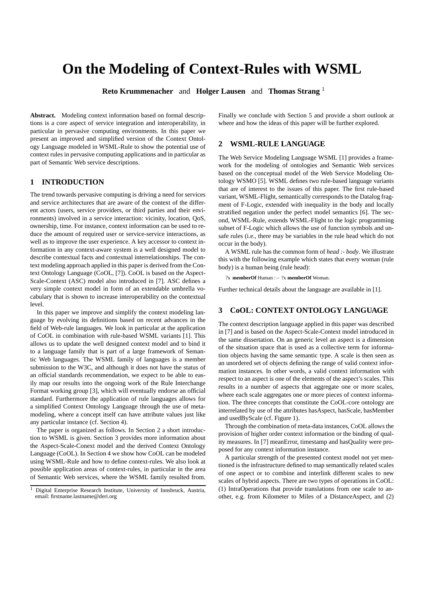# **On the Modeling of Context-Rules with WSML**

**Reto Krummenacher** and **Holger Lausen** and **Thomas Strang** <sup>1</sup>

**Abstract.** Modeling context information based on formal descriptions is a core aspect of service integration and interoperability, in particular in pervasive computing environments. In this paper we present an improved and simplified version of the Context Ontology Language modeled in WSML-Rule to show the potential use of context rules in pervasive computing applications and in particular as part of Semantic Web service descriptions.

#### **1 INTRODUCTION**

The trend towards pervasive computing is driving a need for services and service architectures that are aware of the context of the different actors (users, service providers, or third parties and their environments) involved in a service interaction: vicinity, location, QoS, ownership, time. For instance, context information can be used to reduce the amount of required user or service-service interactions, as well as to improve the user experience. A key accessor to context information in any context-aware system is a well designed model to describe contextual facts and contextual interrelationships. The context modeling approach applied in this paper is derived from the Context Ontology Language (CoOL, [7]). CoOL is based on the Aspect-Scale-Context (ASC) model also introduced in [7]. ASC defines a very simple context model in form of an extendable umbrella vocabulary that is shown to increase interoperability on the contextual level.

In this paper we improve and simplify the context modeling language by evolving its definitions based on recent advances in the field of Web-rule languages. We look in particular at the application of CoOL in combination with rule-based WSML variants [1]. This allows us to update the well designed context model and to bind it to a language family that is part of a large framework of Semantic Web languages. The WSML family of languages is a member submission to the W3C, and although it does not have the status of an official standards recommendation, we expect to be able to easily map our results into the ongoing work of the Rule Interchange Format working group [3], which will eventually endorse an official standard. Furthermore the application of rule languages allows for a simplified Context Ontology Language through the use of metamodeling, where a concept itself can have attribute values just like any particular instance (cf. Section 4).

The paper is organized as follows. In Section 2 a short introduction to WSML is given. Section 3 provides more information about the Aspect-Scale-Conext model and the derived Context Ontology Language (CoOL). In Section 4 we show how CoOL can be modeled using WSML-Rule and how to define context-rules. We also look at possible application areas of context-rules, in particular in the area of Semantic Web services, where the WSML family resulted from. Finally we conclude with Section 5 and provide a short outlook at where and how the ideas of this paper will be further explored.

# **2 WSML-RULE LANGUAGE**

The Web Service Modeling Language WSML [1] provides a framework for the modeling of ontologies and Semantic Web services based on the conceptual model of the Web Service Modeling Ontology WSMO [5]. WSML defines two rule-based language variants that are of interest to the issues of this paper. The first rule-based variant, WSML-Flight, semantically corresponds to the Datalog fragment of F-Logic, extended with inequality in the body and locally stratified negation under the perfect model semantics [6]. The second, WSML-Rule, extends WSML-Flight to the logic programming subset of F-Logic which allows the use of function symbols and unsafe rules (i.e., there may be variables in the rule head which do not occur in the body).

A WSML rule has the common form of *head :- body*. We illustrate this with the following example which states that every woman (rule body) is a human being (rule head):

?x **memberOf** Human :− ?x **memberOf** Woman.

Further technical details about the language are available in [1].

# **3 CoOL: CONTEXT ONTOLOGY LANGUAGE**

The context description language applied in this paper was described in [7] and is based on the Aspect-Scale-Context model introduced in the same dissertation. On an generic level an aspect is a dimension of the situation space that is used as a collective term for information objects having the same semantic type. A scale is then seen as an unordered set of objects defining the range of valid context information instances. In other words, a valid context information with respect to an aspect is one of the elements of the aspect's scales. This results in a number of aspects that aggregate one or more scales, where each scale aggregates one or more pieces of context information. The three concepts that constitute the CoOL-core ontology are interrelated by use of the attributes hasAspect, hasScale, hasMember and usedByScale (cf. Figure 1).

Through the combination of meta-data instances, CoOL allows the provision of higher order context information or the binding of quality measures. In [7] meanError, timestamp and hasQuality were proposed for any context information instance.

A particular strength of the presented context model not yet mentioned is the infrastructure defined to map semantically related scales of one aspect or to combine and interlink different scales to new scales of hybrid aspects. There are two types of operations in CoOL: (1) IntraOperations that provide translations from one scale to another, e.g. from Kilometer to Miles of a DistanceAspect, and (2)

<sup>1</sup> Digital Enterprise Research Institute, University of Innsbruck, Austria, email: firstname.lastname@deri.org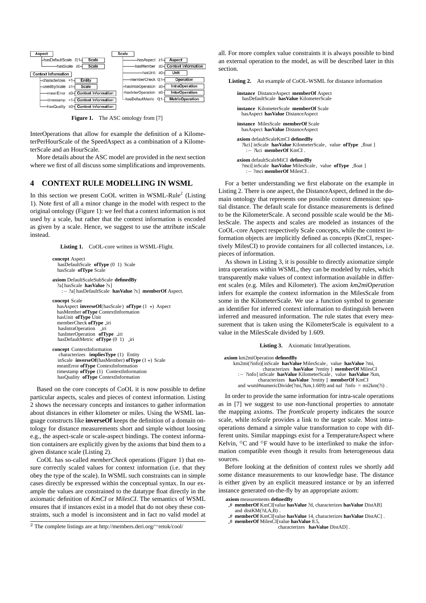

Figure 1. The ASC ontology from [7]

InterOperations that allow for example the definition of a KilometerPerHourScale of the SpeedAspect as a combination of a KilometerScale and an HourScale.

More details about the ASC model are provided in the next section where we first of all discuss some simplifications and improvements.

## **4 CONTEXT RULE MODELLING IN WSML**

In this section we present CoOL written in WSML-Rule<sup>2</sup> (Listing 1). Note first of all a minor change in the model with respect to the original ontology (Figure 1): we feel that a context information is not used by a scale, but rather that the context information is encoded as given by a scale. Hence, we suggest to use the attribute inScale instead.

Listing 1. CoOL-core written in WSML-Flight.

```
concept Aspect
  hasDefaultScale ofType (0 1) Scale
  hasScale ofType Scale
axiom DefaultScaleSubScale definedBy
  ?a[hasScale hasValue ?s]
    :− ?a[ hasDefaultScale hasValue ?s] memberOf Aspect.
concept Scale
  hasAspect inverseOf(hasScale) ofType (1 *) Aspect
  hasMember ofType ContextInformation
  hasUnit ofType Unit
  memberCheck ofType iri
   hasIntraOperation iri<br>hasInterOperation ofType _iri
  hasDefaultMetric ofType (0 1) iri
concept ContextInformation
  characterizes impliesType (1) Entity
inScale inverseOf(hasMember) ofType (1 *) Scale
  meanError ofType ContextInformation
  timestamp ofType (1) ContextInformation
```
hasQuality **ofType** ContextInformation

Based on the core concepts of CoOL it is now possible to define particular aspects, scales and pieces of context information. Listing 2 shows the necessary concepts and instances to gather information about distances in either kilometer or miles. Using the WSML language constructs like **inverseOf** keeps the definition of a domain ontology for distance measurements short and simple without loosing e.g., the aspect-scale or scale-aspect bindings. The context information containers are explicitly given by the axioms that bind them to a given distance scale (Listing 2).

CoOL has so-called *memberCheck* operations (Figure 1) that ensure correctly scaled values for context information (i.e. that they obey the type of the scale). In WSML such constraints can in simple cases directly be expressed within the conceptual syntax. In our example the values are constrained to the datatype float directly in the axiomatic definition of *KmCI* or *MilesCI*. The semantics of WSML ensures that if instances exist in a model that do not obey these constraints, such a model is inconsistent and in fact no valid model at

all. For more complex value constraints it is always possible to bind an external operation to the model, as will be described later in this section.

**Listing 2.** An example of CoOL-WSML for distance information

```
instance DistanceAspect memberOf Aspect
hasDefaultScale hasValue KilometerScale
instance KilometerScale memberOf Scale
  hasAspect hasValue DistanceAspect
instance MilesScale memberOf Scale
  hasAspect hasValue DistanceAspect
axiom defaultScaleKmCI definedBy
   ?kci [inScale hasValue KilometerScale, value ofType _float ]
       :− ?kci memberOf KmCI .
axiom defaultScaleMiCI definedBy
  ?mci[inScale hasValue MilesScale, value ofType _float ]<br>:- ?mci memberOf MilesCI.
```
For a better understanding we first elaborate on the example in Listing 2. There is one aspect, the DistanceAspect, defined in the domain ontology that represents one possible context dimension: spatial distance. The default scale for distance measurements is defined to be the KilometerScale. A second possible scale would be the MilesScale. The aspects and scales are modeled as instances of the CoOL-core Aspect respectively Scale concepts, while the context information objects are implicitly defined as concepts (KmCI, respectively MilesCI) to provide containers for all collected instances, i.e. pieces of information.

As shown in Listing 3, it is possible to directly axiomatize simple intra operations within WSML, they can be modeled by rules, which transparently make values of context information available in different scales (e.g. Miles and Kilometer). The axiom *km2miOperation* infers for example the context information in the MilesScale from some in the KilometerScale. We use a function symbol to generate an identifier for inferred context information to distinguish between inferred and measured information. The rule states that every measurement that is taken using the KilometerScale is equivalent to a value in the MilesScale divided by 1.609.

**Listing 3.** Axiomatic IntraOperations.

| axiom km2miOperation definedBy                                    |
|-------------------------------------------------------------------|
| km2mi(?info)[inScale has Value MilesScale, value has Value ?mi,   |
| characterizes has Value ?entity ] member Of MilesCI               |
| :- ?info [inScale has Value Kilometer Scale, value has Value ?km, |
| characterizes has Value ?entity ] member Of KmCI                  |
| and wsml#numericDivide(?mi,?km,1.609) and naf ?info = mi2km(?i).  |
|                                                                   |

In order to provide the same information for intra-scale operations as in [7] we suggest to use non-functional properties to annotate the mapping axioms. The *fromScale* property indicates the source scale, while *toScale* provides a link to the target scale. Most intraoperations demand a simple value transformation to cope with different units. Similar mappings exist for a TemperatureAspect where Kelvin,  $\mathrm{^{\circ}C}$  and  $\mathrm{^{\circ}F}$  would have to be interlinked to make the information compatible even though it results from heterogeneous data sources.

Before looking at the definition of context rules we shortly add some distance measurements to our knowledge base. The distance is either given by an explicit measured instance or by an inferred instance generated on-the-fly by an appropriate axiom:

**axiom** measurements **definedBy**

- # **memberOf** KmCI[value **hasValue** ?d, characterizes **hasValue** DistAB] and distKM(?d,A,B)
- # **memberOf** KmCI[value **hasValue** 14, characterizes **hasValue** DistAC] .
- # **memberOf** MilesCI[value **hasValue** 8.5,

characterizes **hasValue** DistAD] .

<sup>2</sup> The complete listings are at http://members.deri.org/∼retok/cool/